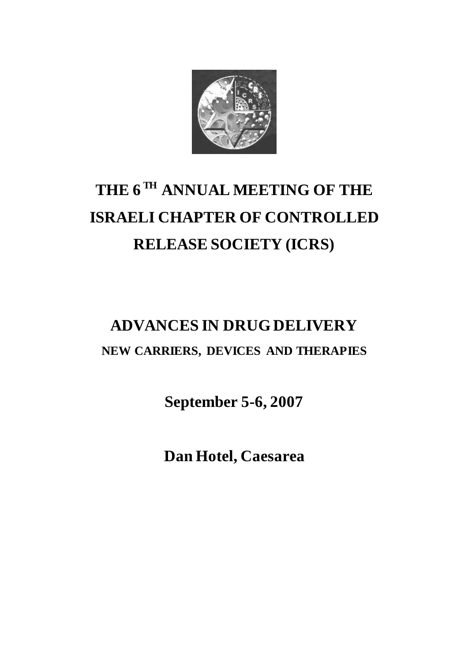

## **THE 6 TH ANNUAL MEETING OF THE ISRAELI CHAPTER OF CONTROLLED RELEASE SOCIETY (ICRS)**

## **ADVANCES IN DRUG DELIVERY NEW CARRIERS, DEVICES AND THERAPIES**

**September 5-6, 2007** 

**Dan Hotel, Caesarea**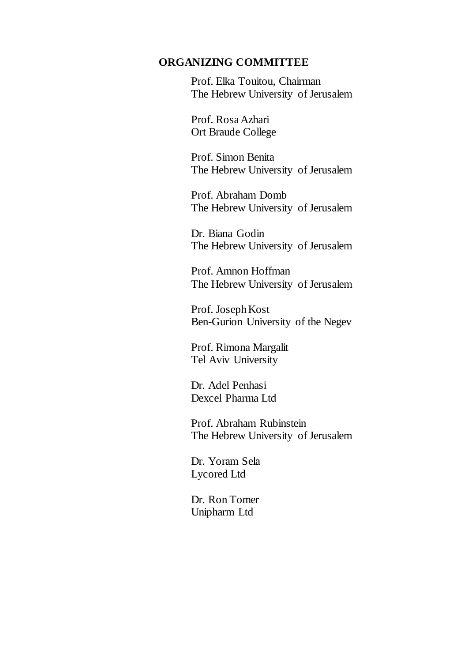#### **ORGANIZING COMMITTEE**

Prof. Elka Touitou, Chairman The Hebrew University of Jerusalem

Prof. Rosa Azhari Ort Braude College

Prof. Simon Benita The Hebrew University of Jerusalem

Prof. Abraham Domb The Hebrew University of Jerusalem

Dr. Biana Godin The Hebrew University of Jerusalem

Prof. Amnon Hoffman The Hebrew University of Jerusalem

Prof. Joseph Kost Ben-Gurion University of the Negev

Prof. Rimona Margalit Tel Aviv University

Dr. Adel Penhasi Dexcel Pharma Ltd

Prof. Abraham Rubinstein The Hebrew University of Jerusalem

Dr. Yoram Sela Lycored Ltd

Dr. Ron Tomer Unipharm Ltd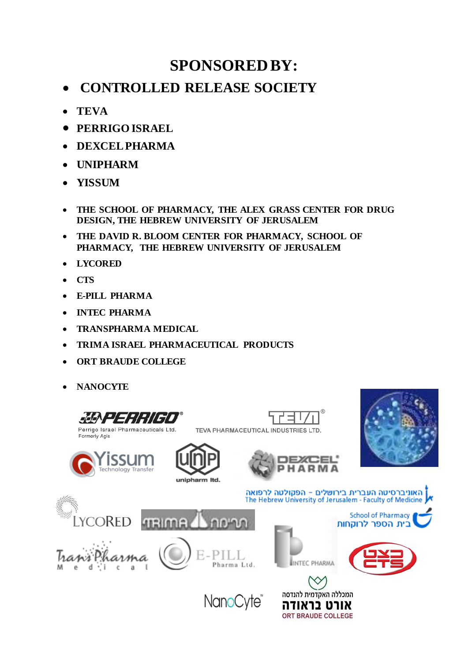### **SPONSORED BY:**

- **CONTROLLED RELEASE SOCIETY**
- **TEVA**
- **PERRIGO ISRAEL**
- **DEXCEL PHARMA**
- **UNIPHARM**
- **YISSUM**
- **THE SCHOOL OF PHARMACY, THE ALEX GRASS CENTER FOR DRUG DESIGN, THE HEBREW UNIVERSITY OF JERUSALEM**
- **THE DAVID R. BLOOM CENTER FOR PHARMACY, SCHOOL OF PHARMACY, THE HEBREW UNIVERSITY OF JERUSALEM**
- **LYCORED**
- **CTS**
- **E-PILL PHARMA**
- **INTEC PHARMA**
- **TRANSPHARMA MEDICAL**
- **TRIMA ISRAEL PHARMACEUTICAL PRODUCTS**
- **ORT BRAUDE COLLEGE**
- **NANOCYTE**

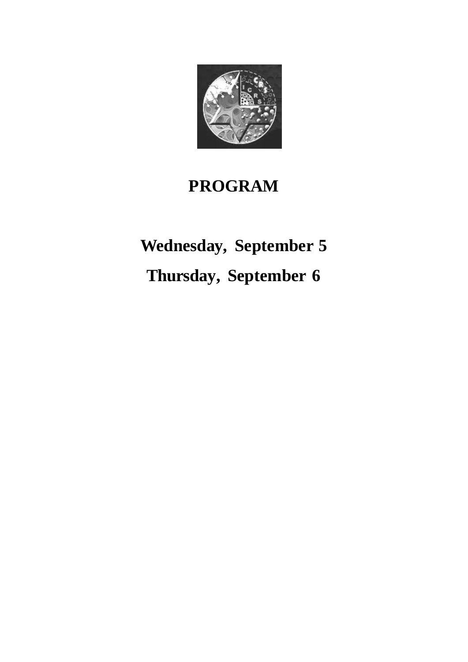

### **PROGRAM**

# **Wednesday, September 5**

**Thursday, September 6**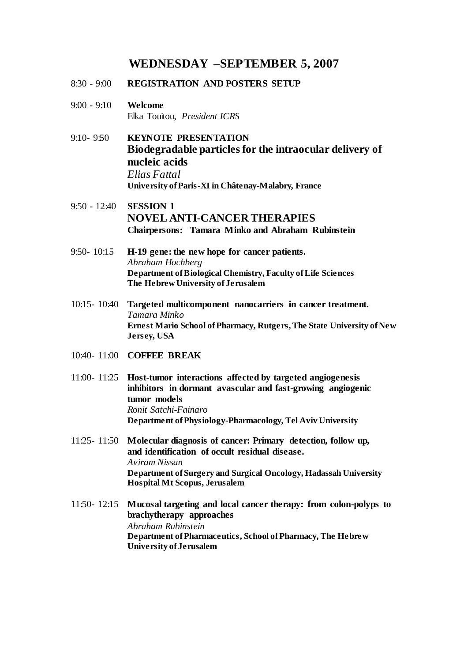#### **WEDNESDAY –SEPTEMBER 5, 2007**

- 8:30 9:00 **REGISTRATION AND POSTERS SETUP**
- 9:00 9:10 **Welcome**  Elka Touitou, *President ICRS*
- 9:10- 9:50 **KEYNOTE PRESENTATION Biodegradable particles for the intraocular delivery of nucleic acids** *Elias Fattal* **University of Paris-XI in Châtenay-Malabry***,* **France**
- 9:50 12:40 **SESSION 1 NOVEL ANTI-CANCER THERAPIES Chairpersons: Tamara Minko and Abraham Rubinstein**
- 9:50- 10:15 **H-19 gene: the new hope for cancer patients.** *Abraham Hochberg* **Department of Biological Chemistry, Faculty of Life Sciences The Hebrew University of Jerusalem**
- 10:15- 10:40 **Targeted multicomponent nanocarriers in cancer treatment.** *Tamara Minko* **Ernest Mario School of Pharmacy, Rutgers, The State University of New Jersey, USA**
- 10:40- 11:00 **COFFEE BREAK**
- 11:00- 11:25 **Host-tumor interactions affected by targeted angiogenesis inhibitors in dormant avascular and fast-growing angiogenic tumor models** *Ronit Satchi-Fainaro* **Department of Physiology-Pharmacology, Tel Aviv University**
- 11:25- 11:50 **Molecular diagnosis of cancer: Primary detection, follow up, and identification of occult residual disease.** *Aviram Nissan* **Department of Surgery and Surgical Oncology, Hadassah University Hospital Mt Scopus, Jerusalem**
- 11:50- 12:15 **Mucosal targeting and local cancer therapy: from colon-polyps to brachytherapy approaches** *Abraham Rubinstein*  **Department of Pharmaceutics, School of Pharmacy, The Hebrew University of Jerusalem**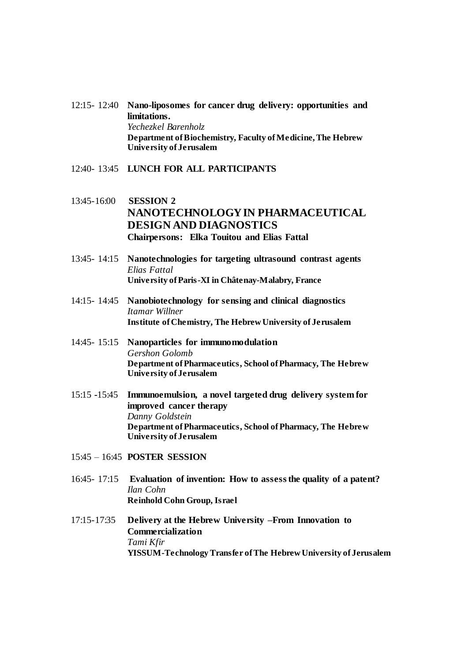- 12:15- 12:40 **Nano-liposomes for cancer drug delivery: opportunities and limitations.**  *Yechezkel Barenholz* **Department of Biochemistry, Faculty of Medicine,The Hebrew University of Jerusalem**
- 12:40- 13:45 **LUNCH FOR ALL PARTICIPANTS**
- 13:45-16:00 **SESSION 2 NANOTECHNOLOGY IN PHARMACEUTICAL DESIGN AND DIAGNOSTICS Chairpersons: Elka Touitou and Elias Fattal**
- 13:45- 14:15 **Nanotechnologies for targeting ultrasound contrast agents** *Elias Fattal* **University of Paris-XI in Châtenay-Malabry, France**
- 14:15- 14:45 **Nanobiotechnology for sensing and clinical diagnostics** *Itamar Willner* **Institute of Chemistry, The Hebrew University of Jerusalem**
- 14:45- 15:15 **Nanoparticles for immunomodulation**  *Gershon Golomb* **Department of Pharmaceutics, School of Pharmacy, The Hebrew University of Jerusalem**
- 15:15 **-**15:45 **Immunoemulsion, a novel targeted drug delivery system for improved cancer therapy** *Danny Goldstein* **Department of Pharmaceutics, School of Pharmacy, The Hebrew University of Jerusalem**
- 15:45 16:45 **POSTER SESSION**
- 16:45- 17:15 **Evaluation of invention: How to assess the quality of a patent?** *Ilan Cohn* **Reinhold Cohn Group, Israel**
- 17:15-17:35 **Delivery at the Hebrew University –From Innovation to Commercialization** *Tami Kfir* **YISSUM-Technology Transfer of The Hebrew University of Jerusalem**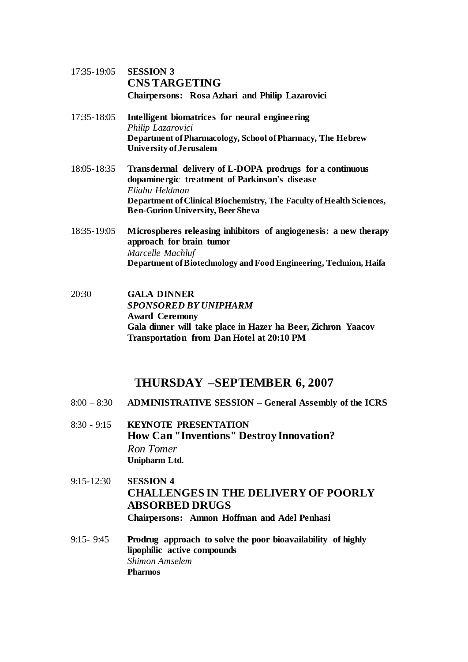- 17:35-19:05 **SESSION 3 CNS TARGETING Chairpersons: Rosa Azhari and Philip Lazarovici**
- 17:35-18:05 **Intelligent biomatrices for neural engineering** *Philip Lazarovici* **Department of Pharmacology, School of Pharmacy, The Hebrew University of Jerusalem**
- 18:05-18:35 **Transdermal delivery of L-DOPA prodrugs for a continuous dopaminergic treatment of Parkinson's disease** *Eliahu Heldman* **Department of Clinical Biochemistry, The Faculty of Health Sciences, Ben-Gurion University, Beer Sheva**
- 18:35-19:05 **Microspheres releasing inhibitors of angiogenesis: a new therapy approach for brain tumor** *Marcelle Machluf* **Department of Biotechnology and Food Engineering, Technion, Haifa**
- 20:30 **GALA DINNER** *SPONSORED BY UNIPHARM* **Award Ceremony Gala dinner will take place in Hazer ha Beer, Zichron Yaacov Transportation from Dan Hotel at 20:10 PM**

### **THURSDAY –SEPTEMBER 6, 2007**

- 8:00 8:30 **ADMINISTRATIVE SESSION – General Assembly of the ICRS**
- 8:30 9:15 **KEYNOTE PRESENTATION How Can "Inventions" Destroy Innovation?**  *Ron Tomer* **Unipharm Ltd.**
- 9:15-12:30 **SESSION 4 CHALLENGES IN THE DELIVERY OF POORLY ABSORBED DRUGS Chairpersons: Amnon Hoffman and Adel Penhasi**
- 9:15- 9:45 **Prodrug approach to solve the poor bioavailability of highly lipophilic active compounds** *Shimon Amselem* **Pharmos**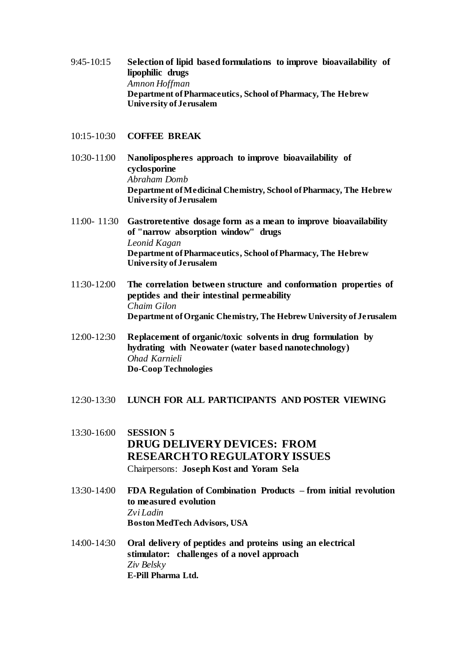- 9:45-10:15 **Selection of lipid based formulations to improve bioavailability of lipophilic drugs** *Amnon Hoffman* **Department of Pharmaceutics, School of Pharmacy, The Hebrew University of Jerusalem**
- 10:15-10:30 **COFFEE BREAK**
- 10:30-11:00 **Nanolipospheres approach to improve bioavailability of cyclosporine**  *Abraham Domb* **Department of Medicinal Chemistry, School of Pharmacy, The Hebrew University of Jerusalem**
- 11:00- 11:30 **Gastroretentive dosage form as a mean to improve bioavailability of "narrow absorption window" drugs**  *Leonid Kagan* **Department of Pharmaceutics, School of Pharmacy, The Hebrew University of Jerusalem**
- 11:30-12:00 **The correlation between structure and conformation properties of peptides and their intestinal permeability**  *Chaim Gilon* **Department of Organic Chemistry, The Hebrew University of Jerusalem**
- 12:00-12:30 **Replacement of organic/toxic solvents in drug formulation by hydrating with Neowater (water based nanotechnology)** *Ohad Karnieli* **Do-Coop Technologies**
- 12:30-13:30 **LUNCH FOR ALL PARTICIPANTS AND POSTER VIEWING**
- 13:30-16:00 **SESSION 5 DRUG DELIVERY DEVICES: FROM RESEARCH TO REGULATORY ISSUES** Chairpersons: **Joseph Kost and Yoram Sela**
- 13:30-14:00 **FDA Regulation of Combination Products – from initial revolution to measured evolution** *Zvi Ladin* **Boston MedTech Advisors, USA**
- 14:00-14:30 **Oral delivery of peptides and proteins using an electrical stimulator: challenges of a novel approach** *Ziv Belsky* **E-Pill Pharma Ltd.**